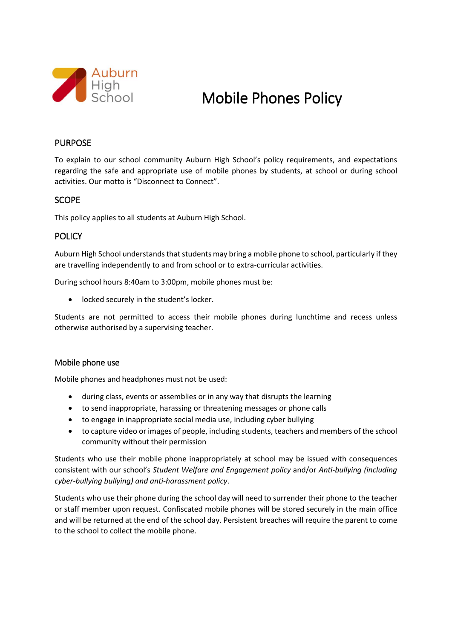

# Mobile Phones Policy

# PURPOSE

To explain to our school community Auburn High School's policy requirements, and expectations regarding the safe and appropriate use of mobile phones by students, at school or during school activities. Our motto is "Disconnect to Connect".

## SCOPE

This policy applies to all students at Auburn High School.

#### **POLICY**

Auburn High School understands that students may bring a mobile phone to school, particularly if they are travelling independently to and from school or to extra-curricular activities.

During school hours 8:40am to 3:00pm, mobile phones must be:

locked securely in the student's locker.

Students are not permitted to access their mobile phones during lunchtime and recess unless otherwise authorised by a supervising teacher.

#### Mobile phone use

Mobile phones and headphones must not be used:

- during class, events or assemblies or in any way that disrupts the learning
- to send inappropriate, harassing or threatening messages or phone calls
- to engage in inappropriate social media use, including cyber bullying
- to capture video or images of people, including students, teachers and members of the school community without their permission

Students who use their mobile phone inappropriately at school may be issued with consequences consistent with our school's *Student Welfare and Engagement policy* and/or *Anti-bullying (including cyber-bullying bullying) and anti-harassment policy*.

Students who use their phone during the school day will need to surrender their phone to the teacher or staff member upon request. Confiscated mobile phones will be stored securely in the main office and will be returned at the end of the school day. Persistent breaches will require the parent to come to the school to collect the mobile phone.